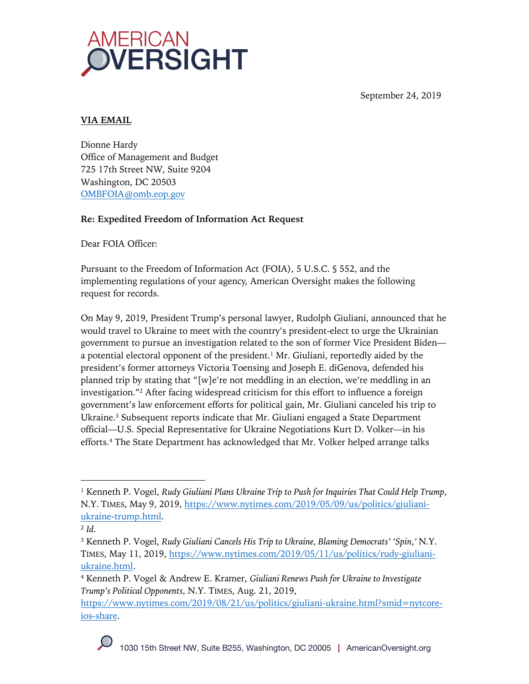September 24, 2019



## **VIA EMAIL**

Dionne Hardy Office of Management and Budget 725 17th Street NW, Suite 9204 Washington, DC 20503 OMBFOIA@omb.eop.gov

## **Re: Expedited Freedom of Information Act Request**

Dear FOIA Officer:

Pursuant to the Freedom of Information Act (FOIA), 5 U.S.C. § 552, and the implementing regulations of your agency, American Oversight makes the following request for records.

On May 9, 2019, President Trump's personal lawyer, Rudolph Giuliani, announced that he would travel to Ukraine to meet with the country's president-elect to urge the Ukrainian government to pursue an investigation related to the son of former Vice President Biden a potential electoral opponent of the president.<sup>1</sup> Mr. Giuliani, reportedly aided by the president's former attorneys Victoria Toensing and Joseph E. diGenova, defended his planned trip by stating that "[w]e're not meddling in an election, we're meddling in an investigation."2 After facing widespread criticism for this effort to influence a foreign government's law enforcement efforts for political gain, Mr. Giuliani canceled his trip to Ukraine.3 Subsequent reports indicate that Mr. Giuliani engaged a State Department official—U.S. Special Representative for Ukraine Negotiations Kurt D. Volker—in his efforts.4 The State Department has acknowledged that Mr. Volker helped arrange talks

<sup>1</sup> Kenneth P. Vogel, *Rudy Giuliani Plans Ukraine Trip to Push for Inquiries That Could Help Trump*, N.Y. TIMES, May 9, 2019, https://www.nytimes.com/2019/05/09/us/politics/giulianiukraine-trump.html.

<sup>2</sup> *Id*.

<sup>3</sup> Kenneth P. Vogel, *Rudy Giuliani Cancels His Trip to Ukraine, Blaming Democrats' 'Spin*,*'* N.Y. TIMES, May 11, 2019, https://www.nytimes.com/2019/05/11/us/politics/rudy-giulianiukraine.html.

<sup>4</sup> Kenneth P. Vogel & Andrew E. Kramer, *Giuliani Renews Push for Ukraine to Investigate Trump's Political Opponents*, N.Y. TIMES, Aug. 21, 2019,

https://www.nytimes.com/2019/08/21/us/politics/giuliani-ukraine.html?smid=nytcoreios-share.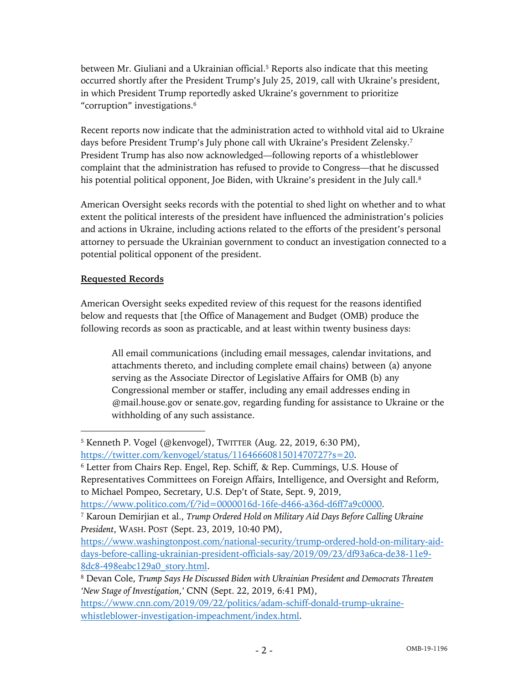between Mr. Giuliani and a Ukrainian official.<sup>5</sup> Reports also indicate that this meeting occurred shortly after the President Trump's July 25, 2019, call with Ukraine's president, in which President Trump reportedly asked Ukraine's government to prioritize "corruption" investigations.6

Recent reports now indicate that the administration acted to withhold vital aid to Ukraine days before President Trump's July phone call with Ukraine's President Zelensky.<sup>7</sup> President Trump has also now acknowledged—following reports of a whistleblower complaint that the administration has refused to provide to Congress—that he discussed his potential political opponent, Joe Biden, with Ukraine's president in the July call.<sup>8</sup>

American Oversight seeks records with the potential to shed light on whether and to what extent the political interests of the president have influenced the administration's policies and actions in Ukraine, including actions related to the efforts of the president's personal attorney to persuade the Ukrainian government to conduct an investigation connected to a potential political opponent of the president.

## **Requested Records**

American Oversight seeks expedited review of this request for the reasons identified below and requests that [the Office of Management and Budget (OMB) produce the following records as soon as practicable, and at least within twenty business days:

All email communications (including email messages, calendar invitations, and attachments thereto, and including complete email chains) between (a) anyone serving as the Associate Director of Legislative Affairs for OMB (b) any Congressional member or staffer, including any email addresses ending in @mail.house.gov or senate.gov, regarding funding for assistance to Ukraine or the withholding of any such assistance.

https://www.politico.com/f/?id=0000016d-16fe-d466-a36d-d6ff7a9c0000.

<sup>5</sup> Kenneth P. Vogel (@kenvogel), TWITTER (Aug. 22, 2019, 6:30 PM),

https://twitter.com/kenvogel/status/1164666081501470727?s=20.

<sup>6</sup> Letter from Chairs Rep. Engel, Rep. Schiff, & Rep. Cummings, U.S. House of Representatives Committees on Foreign Affairs, Intelligence, and Oversight and Reform, to Michael Pompeo, Secretary, U.S. Dep't of State, Sept. 9, 2019,

<sup>7</sup> Karoun Demirjian et al., *Trump Ordered Hold on Military Aid Days Before Calling Ukraine President*, WASH. POST (Sept. 23, 2019, 10:40 PM),

https://www.washingtonpost.com/national-security/trump-ordered-hold-on-military-aiddays-before-calling-ukrainian-president-officials-say/2019/09/23/df93a6ca-de38-11e9- 8dc8-498eabc129a0\_story.html.

<sup>8</sup> Devan Cole, *Trump Says He Discussed Biden with Ukrainian President and Democrats Threaten 'New Stage of Investigation*,*'* CNN (Sept. 22, 2019, 6:41 PM),

https://www.cnn.com/2019/09/22/politics/adam-schiff-donald-trump-ukrainewhistleblower-investigation-impeachment/index.html.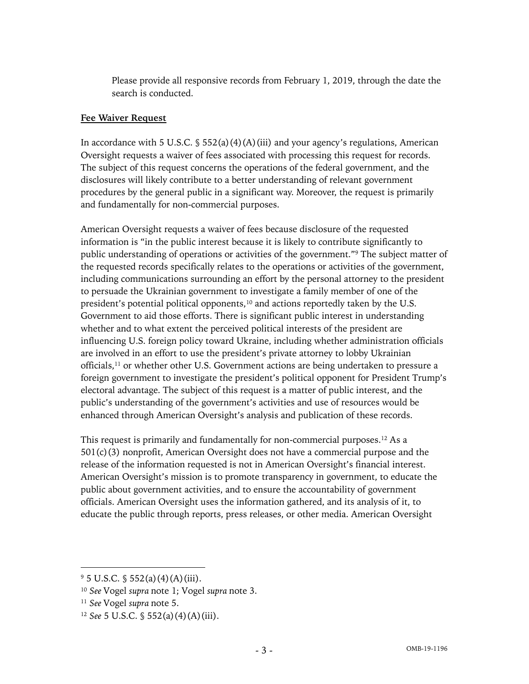Please provide all responsive records from February 1, 2019, through the date the search is conducted.

### **Fee Waiver Request**

In accordance with 5 U.S.C.  $\S$  552(a)(4)(A)(iii) and your agency's regulations, American Oversight requests a waiver of fees associated with processing this request for records. The subject of this request concerns the operations of the federal government, and the disclosures will likely contribute to a better understanding of relevant government procedures by the general public in a significant way. Moreover, the request is primarily and fundamentally for non-commercial purposes.

American Oversight requests a waiver of fees because disclosure of the requested information is "in the public interest because it is likely to contribute significantly to public understanding of operations or activities of the government."9 The subject matter of the requested records specifically relates to the operations or activities of the government, including communications surrounding an effort by the personal attorney to the president to persuade the Ukrainian government to investigate a family member of one of the president's potential political opponents,<sup>10</sup> and actions reportedly taken by the U.S. Government to aid those efforts. There is significant public interest in understanding whether and to what extent the perceived political interests of the president are influencing U.S. foreign policy toward Ukraine, including whether administration officials are involved in an effort to use the president's private attorney to lobby Ukrainian officials, <sup>11</sup> or whether other U.S. Government actions are being undertaken to pressure a foreign government to investigate the president's political opponent for President Trump's electoral advantage. The subject of this request is a matter of public interest, and the public's understanding of the government's activities and use of resources would be enhanced through American Oversight's analysis and publication of these records.

This request is primarily and fundamentally for non-commercial purposes.12 As a 501(c)(3) nonprofit, American Oversight does not have a commercial purpose and the release of the information requested is not in American Oversight's financial interest. American Oversight's mission is to promote transparency in government, to educate the public about government activities, and to ensure the accountability of government officials. American Oversight uses the information gathered, and its analysis of it, to educate the public through reports, press releases, or other media. American Oversight

 $9\,5$  U.S.C.  $\S$  552(a)(4)(A)(iii).

<sup>10</sup> *See* Vogel *supra* note 1; Vogel *supra* note 3.

<sup>11</sup> *See* Vogel *supra* note 5.

<sup>12</sup> *See* 5 U.S.C. § 552(a)(4)(A)(iii).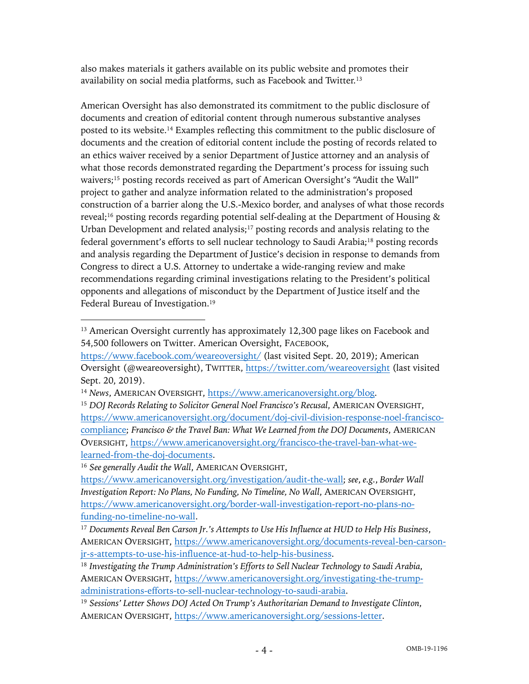also makes materials it gathers available on its public website and promotes their availability on social media platforms, such as Facebook and Twitter.13

American Oversight has also demonstrated its commitment to the public disclosure of documents and creation of editorial content through numerous substantive analyses posted to its website. <sup>14</sup> Examples reflecting this commitment to the public disclosure of documents and the creation of editorial content include the posting of records related to an ethics waiver received by a senior Department of Justice attorney and an analysis of what those records demonstrated regarding the Department's process for issuing such waivers;<sup>15</sup> posting records received as part of American Oversight's "Audit the Wall" project to gather and analyze information related to the administration's proposed construction of a barrier along the U.S.-Mexico border, and analyses of what those records reveal;<sup>16</sup> posting records regarding potential self-dealing at the Department of Housing & Urban Development and related analysis; $17$  posting records and analysis relating to the federal government's efforts to sell nuclear technology to Saudi Arabia;<sup>18</sup> posting records and analysis regarding the Department of Justice's decision in response to demands from Congress to direct a U.S. Attorney to undertake a wide-ranging review and make recommendations regarding criminal investigations relating to the President's political opponents and allegations of misconduct by the Department of Justice itself and the Federal Bureau of Investigation.<sup>19</sup>

<sup>16</sup> *See generally Audit the Wall*, AMERICAN OVERSIGHT,

<sup>&</sup>lt;sup>13</sup> American Oversight currently has approximately 12,300 page likes on Facebook and 54,500 followers on Twitter. American Oversight, FACEBOOK,

https://www.facebook.com/weareoversight/ (last visited Sept. 20, 2019); American Oversight (@weareoversight), TWITTER, https://twitter.com/weareoversight (last visited Sept. 20, 2019).

<sup>&</sup>lt;sup>14</sup> News, AMERICAN OVERSIGHT, https://www.americanoversight.org/blog.

<sup>&</sup>lt;sup>15</sup> DOJ Records Relating to Solicitor General Noel Francisco's Recusal, AMERICAN OVERSIGHT, https://www.americanoversight.org/document/doj-civil-division-response-noel-franciscocompliance; *Francisco & the Travel Ban: What We Learned from the DOJ Documents*, AMERICAN OVERSIGHT, https://www.americanoversight.org/francisco-the-travel-ban-what-welearned-from-the-doj-documents.

https://www.americanoversight.org/investigation/audit-the-wall; *see*, *e.g.*, *Border Wall Investigation Report: No Plans, No Funding, No Timeline, No Wall*, AMERICAN OVERSIGHT, https://www.americanoversight.org/border-wall-investigation-report-no-plans-nofunding-no-timeline-no-wall.

<sup>17</sup> *Documents Reveal Ben Carson Jr.'s Attempts to Use His Influence at HUD to Help His Business*, AMERICAN OVERSIGHT, https://www.americanoversight.org/documents-reveal-ben-carsonjr-s-attempts-to-use-his-influence-at-hud-to-help-his-business.

<sup>18</sup> *Investigating the Trump Administration's Efforts to Sell Nuclear Technology to Saudi Arabia*, AMERICAN OVERSIGHT, https://www.americanoversight.org/investigating-the-trumpadministrations-efforts-to-sell-nuclear-technology-to-saudi-arabia.

<sup>19</sup> *Sessions' Letter Shows DOJ Acted On Trump's Authoritarian Demand to Investigate Clinton*, AMERICAN OVERSIGHT, https://www.americanoversight.org/sessions-letter.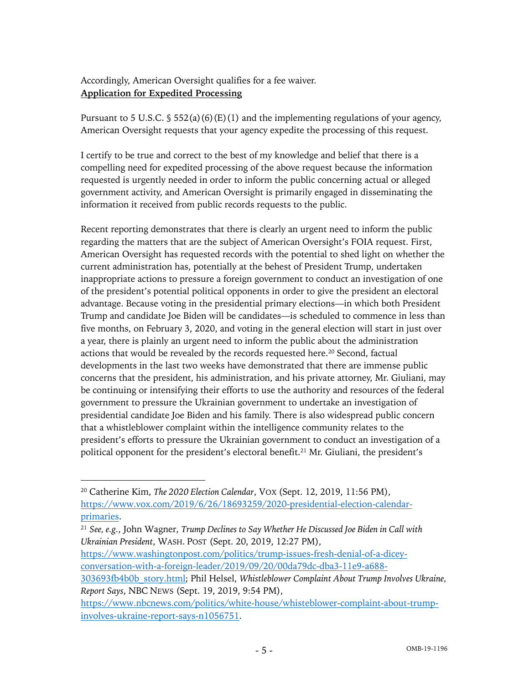# Accordingly, American Oversight qualifies for a fee waiver. **Application for Expedited Processing**

Pursuant to 5 U.S.C.  $\S$  552(a)(6)(E)(1) and the implementing regulations of your agency, American Oversight requests that your agency expedite the processing of this request.

I certify to be true and correct to the best of my knowledge and belief that there is a compelling need for expedited processing of the above request because the information requested is urgently needed in order to inform the public concerning actual or alleged government activity, and American Oversight is primarily engaged in disseminating the information it received from public records requests to the public.

Recent reporting demonstrates that there is clearly an urgent need to inform the public regarding the matters that are the subject of American Oversight's FOIA request. First, American Oversight has requested records with the potential to shed light on whether the current administration has, potentially at the behest of President Trump, undertaken inappropriate actions to pressure a foreign government to conduct an investigation of one of the president's potential political opponents in order to give the president an electoral advantage. Because voting in the presidential primary elections—in which both President Trump and candidate Joe Biden will be candidates—is scheduled to commence in less than five months, on February 3, 2020, and voting in the general election will start in just over a year, there is plainly an urgent need to inform the public about the administration actions that would be revealed by the records requested here.20 Second, factual developments in the last two weeks have demonstrated that there are immense public concerns that the president, his administration, and his private attorney, Mr. Giuliani, may be continuing or intensifying their efforts to use the authority and resources of the federal government to pressure the Ukrainian government to undertake an investigation of presidential candidate Joe Biden and his family. There is also widespread public concern that a whistleblower complaint within the intelligence community relates to the president's efforts to pressure the Ukrainian government to conduct an investigation of a political opponent for the president's electoral benefit.<sup>21</sup> Mr. Giuliani, the president's

https://www.washingtonpost.com/politics/trump-issues-fresh-denial-of-a-diceyconversation-with-a-foreign-leader/2019/09/20/00da79dc-dba3-11e9-a688-

<sup>20</sup> Catherine Kim, *The 2020 Election Calendar*, VOX (Sept. 12, 2019, 11:56 PM), https://www.vox.com/2019/6/26/18693259/2020-presidential-election-calendarprimaries.

<sup>21</sup> *See, e.g.*, John Wagner, *Trump Declines to Say Whether He Discussed Joe Biden in Call with Ukrainian President*, WASH. POST (Sept. 20, 2019, 12:27 PM),

<sup>303693</sup>fb4b0b\_story.html; Phil Helsel, *Whistleblower Complaint About Trump Involves Ukraine, Report Says*, NBC NEWS (Sept. 19, 2019, 9:54 PM),

https://www.nbcnews.com/politics/white-house/whisteblower-complaint-about-trumpinvolves-ukraine-report-says-n1056751.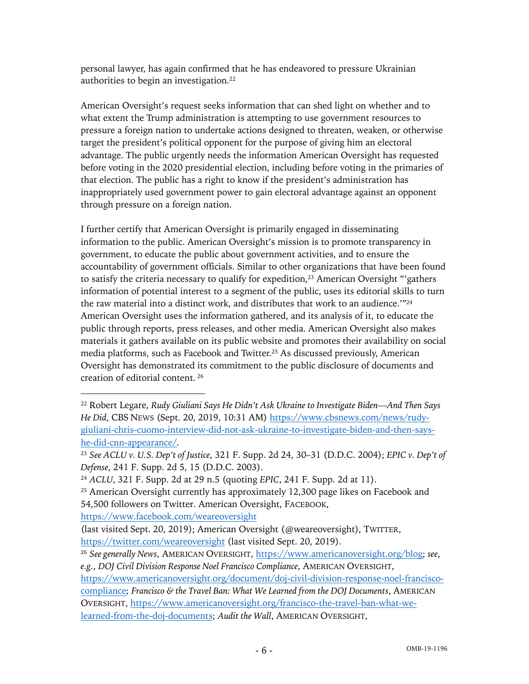personal lawyer, has again confirmed that he has endeavored to pressure Ukrainian authorities to begin an investigation.22

American Oversight's request seeks information that can shed light on whether and to what extent the Trump administration is attempting to use government resources to pressure a foreign nation to undertake actions designed to threaten, weaken, or otherwise target the president's political opponent for the purpose of giving him an electoral advantage. The public urgently needs the information American Oversight has requested before voting in the 2020 presidential election, including before voting in the primaries of that election. The public has a right to know if the president's administration has inappropriately used government power to gain electoral advantage against an opponent through pressure on a foreign nation.

I further certify that American Oversight is primarily engaged in disseminating information to the public. American Oversight's mission is to promote transparency in government, to educate the public about government activities, and to ensure the accountability of government officials. Similar to other organizations that have been found to satisfy the criteria necessary to qualify for expedition,<sup>23</sup> American Oversight "'gathers' information of potential interest to a segment of the public, uses its editorial skills to turn the raw material into a distinct work, and distributes that work to an audience."<sup>24</sup> American Oversight uses the information gathered, and its analysis of it, to educate the public through reports, press releases, and other media. American Oversight also makes materials it gathers available on its public website and promotes their availability on social media platforms, such as Facebook and Twitter.25 As discussed previously, American Oversight has demonstrated its commitment to the public disclosure of documents and creation of editorial content. <sup>26</sup>

https://www.facebook.com/weareoversight

<sup>22</sup> Robert Legare, *Rudy Giuliani Says He Didn't Ask Ukraine to Investigate Biden—And Then Says He Did*, CBS NEWS (Sept. 20, 2019, 10:31 AM) https://www.cbsnews.com/news/rudygiuliani-chris-cuomo-interview-did-not-ask-ukraine-to-investigate-biden-and-then-sayshe-did-cnn-appearance/.

<sup>23</sup> *See ACLU v. U.S. Dep't of Justice*, 321 F. Supp. 2d 24, 30–31 (D.D.C. 2004); *EPIC v. Dep't of Defense*, 241 F. Supp. 2d 5, 15 (D.D.C. 2003).

<sup>24</sup> *ACLU*, 321 F. Supp. 2d at 29 n.5 (quoting *EPIC*, 241 F. Supp. 2d at 11).

<sup>25</sup> American Oversight currently has approximately 12,300 page likes on Facebook and 54,500 followers on Twitter. American Oversight, FACEBOOK,

<sup>(</sup>last visited Sept. 20, 2019); American Oversight (@weareoversight), TWITTER, https://twitter.com/weareoversight (last visited Sept. 20, 2019).

<sup>26</sup> *See generally News*, AMERICAN OVERSIGHT, https://www.americanoversight.org/blog; *see*, *e.g.*, *DOJ Civil Division Response Noel Francisco Compliance*, AMERICAN OVERSIGHT,

https://www.americanoversight.org/document/doj-civil-division-response-noel-franciscocompliance; *Francisco & the Travel Ban: What We Learned from the DOJ Documents*, AMERICAN OVERSIGHT, https://www.americanoversight.org/francisco-the-travel-ban-what-welearned-from-the-doj-documents; *Audit the Wall*, AMERICAN OVERSIGHT,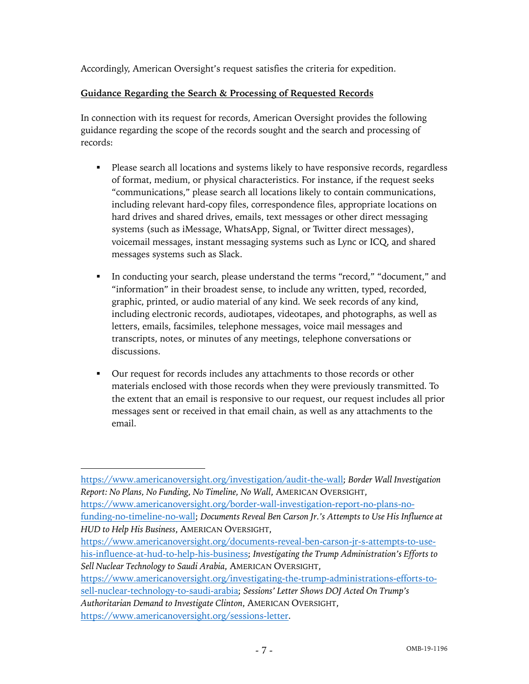Accordingly, American Oversight's request satisfies the criteria for expedition.

### **Guidance Regarding the Search & Processing of Requested Records**

In connection with its request for records, American Oversight provides the following guidance regarding the scope of the records sought and the search and processing of records:

- Please search all locations and systems likely to have responsive records, regardless of format, medium, or physical characteristics. For instance, if the request seeks "communications," please search all locations likely to contain communications, including relevant hard-copy files, correspondence files, appropriate locations on hard drives and shared drives, emails, text messages or other direct messaging systems (such as iMessage, WhatsApp, Signal, or Twitter direct messages), voicemail messages, instant messaging systems such as Lync or ICQ, and shared messages systems such as Slack.
- In conducting your search, please understand the terms "record," "document," and "information" in their broadest sense, to include any written, typed, recorded, graphic, printed, or audio material of any kind. We seek records of any kind, including electronic records, audiotapes, videotapes, and photographs, as well as letters, emails, facsimiles, telephone messages, voice mail messages and transcripts, notes, or minutes of any meetings, telephone conversations or discussions.
- Our request for records includes any attachments to those records or other materials enclosed with those records when they were previously transmitted. To the extent that an email is responsive to our request, our request includes all prior messages sent or received in that email chain, as well as any attachments to the email.

https://www.americanoversight.org/investigating-the-trump-administrations-efforts-tosell-nuclear-technology-to-saudi-arabia; *Sessions' Letter Shows DOJ Acted On Trump's Authoritarian Demand to Investigate Clinton*, AMERICAN OVERSIGHT,

https://www.americanoversight.org/sessions-letter.

https://www.americanoversight.org/investigation/audit-the-wall; *Border Wall Investigation Report: No Plans, No Funding, No Timeline, No Wall*, AMERICAN OVERSIGHT,

https://www.americanoversight.org/border-wall-investigation-report-no-plans-nofunding-no-timeline-no-wall; *Documents Reveal Ben Carson Jr.'s Attempts to Use His Influence at HUD to Help His Business*, AMERICAN OVERSIGHT,

https://www.americanoversight.org/documents-reveal-ben-carson-jr-s-attempts-to-usehis-influence-at-hud-to-help-his-business; *Investigating the Trump Administration's Efforts to Sell Nuclear Technology to Saudi Arabia*, AMERICAN OVERSIGHT,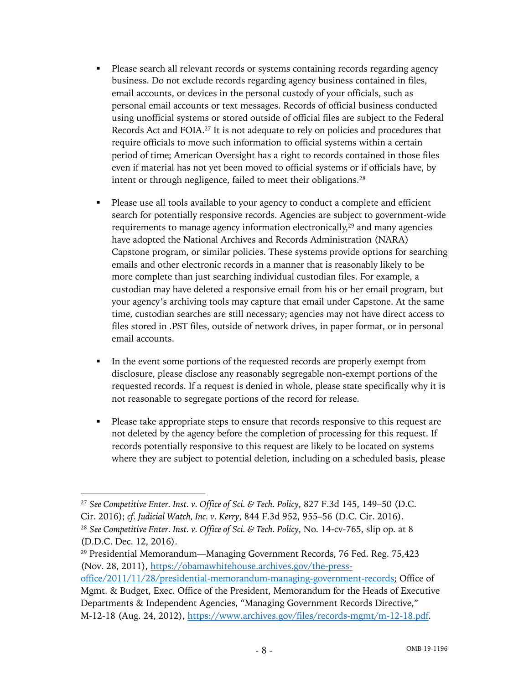- § Please search all relevant records or systems containing records regarding agency business. Do not exclude records regarding agency business contained in files, email accounts, or devices in the personal custody of your officials, such as personal email accounts or text messages. Records of official business conducted using unofficial systems or stored outside of official files are subject to the Federal Records Act and FOIA.27 It is not adequate to rely on policies and procedures that require officials to move such information to official systems within a certain period of time; American Oversight has a right to records contained in those files even if material has not yet been moved to official systems or if officials have, by intent or through negligence, failed to meet their obligations.28
- Please use all tools available to your agency to conduct a complete and efficient search for potentially responsive records. Agencies are subject to government-wide requirements to manage agency information electronically,<sup>29</sup> and many agencies have adopted the National Archives and Records Administration (NARA) Capstone program, or similar policies. These systems provide options for searching emails and other electronic records in a manner that is reasonably likely to be more complete than just searching individual custodian files. For example, a custodian may have deleted a responsive email from his or her email program, but your agency's archiving tools may capture that email under Capstone. At the same time, custodian searches are still necessary; agencies may not have direct access to files stored in .PST files, outside of network drives, in paper format, or in personal email accounts.
- In the event some portions of the requested records are properly exempt from disclosure, please disclose any reasonably segregable non-exempt portions of the requested records. If a request is denied in whole, please state specifically why it is not reasonable to segregate portions of the record for release.
- § Please take appropriate steps to ensure that records responsive to this request are not deleted by the agency before the completion of processing for this request. If records potentially responsive to this request are likely to be located on systems where they are subject to potential deletion, including on a scheduled basis, please

<sup>27</sup> *See Competitive Enter. Inst. v. Office of Sci. & Tech. Policy*, 827 F.3d 145, 149–50 (D.C. Cir. 2016); *cf. Judicial Watch, Inc. v. Kerry*, 844 F.3d 952, 955–56 (D.C. Cir. 2016). <sup>28</sup> *See Competitive Enter. Inst. v. Office of Sci. & Tech. Policy*, No. 14-cv-765, slip op. at 8 (D.D.C. Dec. 12, 2016).

<sup>29</sup> Presidential Memorandum—Managing Government Records, 76 Fed. Reg. 75,423 (Nov. 28, 2011), https://obamawhitehouse.archives.gov/the-press-

office/2011/11/28/presidential-memorandum-managing-government-records; Office of Mgmt. & Budget, Exec. Office of the President, Memorandum for the Heads of Executive Departments & Independent Agencies, "Managing Government Records Directive," M-12-18 (Aug. 24, 2012), https://www.archives.gov/files/records-mgmt/m-12-18.pdf.